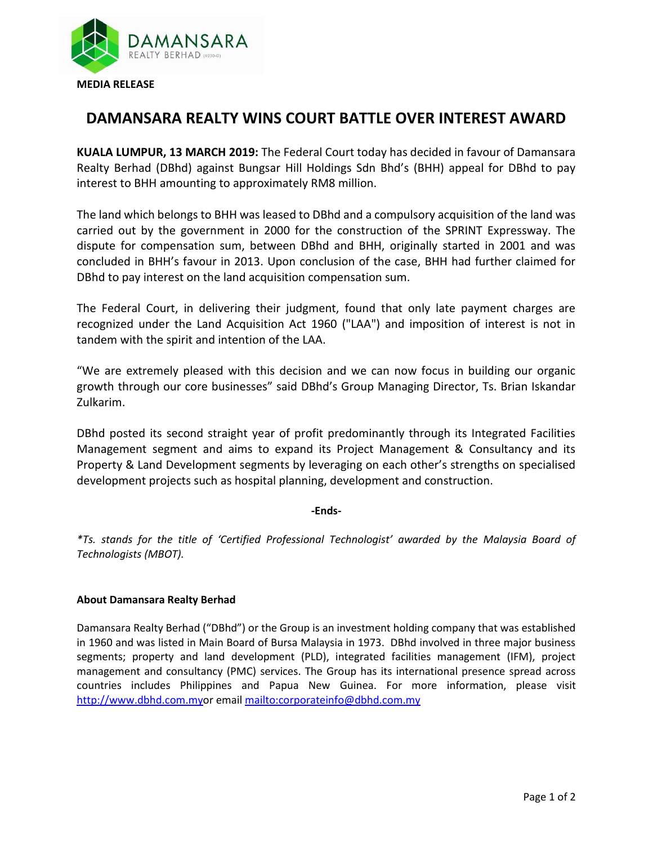

## **DAMANSARA REALTY WINS COURT BATTLE OVER INTEREST AWARD**

**KUALA LUMPUR, 13 MARCH 2019:** The Federal Court today has decided in favour of Damansara Realty Berhad (DBhd) against Bungsar Hill Holdings Sdn Bhd's (BHH) appeal for DBhd to pay interest to BHH amounting to approximately RM8 million.

The land which belongs to BHH was leased to DBhd and a compulsory acquisition of the land was carried out by the government in 2000 for the construction of the SPRINT Expressway. The dispute for compensation sum, between DBhd and BHH, originally started in 2001 and was concluded in BHH's favour in 2013. Upon conclusion of the case, BHH had further claimed for DBhd to pay interest on the land acquisition compensation sum.

The Federal Court, in delivering their judgment, found that only late payment charges are recognized under the Land Acquisition Act 1960 ("LAA") and imposition of interest is not in tandem with the spirit and intention of the LAA.

"We are extremely pleased with this decision and we can now focus in building our organic growth through our core businesses" said DBhd's Group Managing Director, Ts. Brian Iskandar Zulkarim.

DBhd posted its second straight year of profit predominantly through its Integrated Facilities Management segment and aims to expand its Project Management & Consultancy and its Property & Land Development segments by leveraging on each other's strengths on specialised development projects such as hospital planning, development and construction.

## **-Ends-**

*\*Ts. stands for the title of 'Certified Professional Technologist' awarded by the Malaysia Board of Technologists (MBOT).*

## **About Damansara Realty Berhad**

Damansara Realty Berhad ("DBhd") or the Group is an investment holding company that was established in 1960 and was listed in Main Board of Bursa Malaysia in 1973. DBhd involved in three major business segments; property and land development (PLD), integrated facilities management (IFM), project management and consultancy (PMC) services. The Group has its international presence spread across countries includes Philippines and Papua New Guinea. For more information, please visit [http://www.dbhd.com.myo](http://www.dbhd.com.my/)r emai[l mailto:corporateinfo@dbhd.com.my](mailto:corporateinfo@dbhd.com.my)